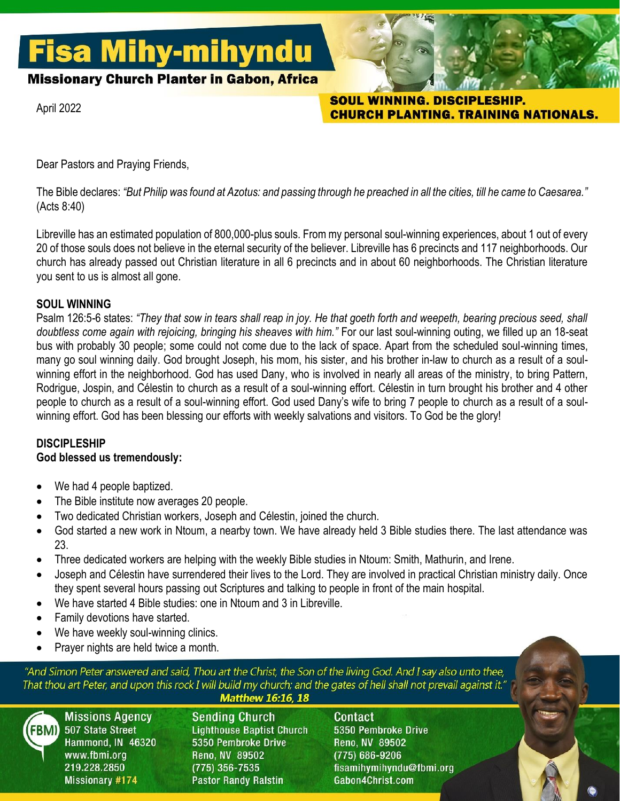# **Fisa Mihy-mihyndu**

**Missionary Church Planter in Gabon, Africa** 

April 2022

SOUL WINNING. DISCIPLESHIP. **CHURCH PLANTING. TRAINING NATIONALS.** 

Dear Pastors and Praying Friends,

The Bible declares: *"But Philip was found at Azotus: and passing through he preached in all the cities, till he came to Caesarea."* (Acts 8:40)

Libreville has an estimated population of 800,000-plus souls. From my personal soul-winning experiences, about 1 out of every 20 of those souls does not believe in the eternal security of the believer. Libreville has 6 precincts and 117 neighborhoods. Our church has already passed out Christian literature in all 6 precincts and in about 60 neighborhoods. The Christian literature you sent to us is almost all gone.

# **SOUL WINNING**

Psalm 126:5-6 states: *"They that sow in tears shall reap in joy. He that goeth forth and weepeth, bearing precious seed, shall doubtless come again with rejoicing, bringing his sheaves with him."* For our last soul-winning outing, we filled up an 18-seat bus with probably 30 people; some could not come due to the lack of space. Apart from the scheduled soul-winning times, many go soul winning daily. God brought Joseph, his mom, his sister, and his brother in-law to church as a result of a soulwinning effort in the neighborhood. God has used Dany, who is involved in nearly all areas of the ministry, to bring Pattern, Rodrigue, Jospin, and Célestin to church as a result of a soul-winning effort. Célestin in turn brought his brother and 4 other people to church as a result of a soul-winning effort. God used Dany's wife to bring 7 people to church as a result of a soulwinning effort. God has been blessing our efforts with weekly salvations and visitors. To God be the glory!

# **DISCIPLESHIP**

# **God blessed us tremendously:**

- We had 4 people baptized.
- The Bible institute now averages 20 people.
- Two dedicated Christian workers, Joseph and Célestin, joined the church.
- God started a new work in Ntoum, a nearby town. We have already held 3 Bible studies there. The last attendance was 23.
- Three dedicated workers are helping with the weekly Bible studies in Ntoum: Smith, Mathurin, and Irene.
- Joseph and Célestin have surrendered their lives to the Lord. They are involved in practical Christian ministry daily. Once they spent several hours passing out Scriptures and talking to people in front of the main hospital.
- We have started 4 Bible studies: one in Ntoum and 3 in Libreville.
- Family devotions have started.
- We have weekly soul-winning clinics.
- Prayer nights are held twice a month.

"And Simon Peter answered and said, Thou art the Christ, the Son of the living God. And I say also unto thee, That thou art Peter, and upon this rock I will build my church; and the gates of hell shall not prevail against it.'

#### **Matthew 16:16, 18**



**Missions Agency** 507 State Street Hammond, IN 46320 www.fbmi.org 219.228.2850 **Missionary #174** 

**Sending Church Lighthouse Baptist Church** 5350 Pembroke Drive Reno, NV 89502 (775) 356-7535 **Pastor Randy Ralstin** 

Contact 5350 Pembroke Drive Reno, NV 89502  $(775) 686 - 9206$ fisamihymihyndu@fbmi.org Gabon4Christ.com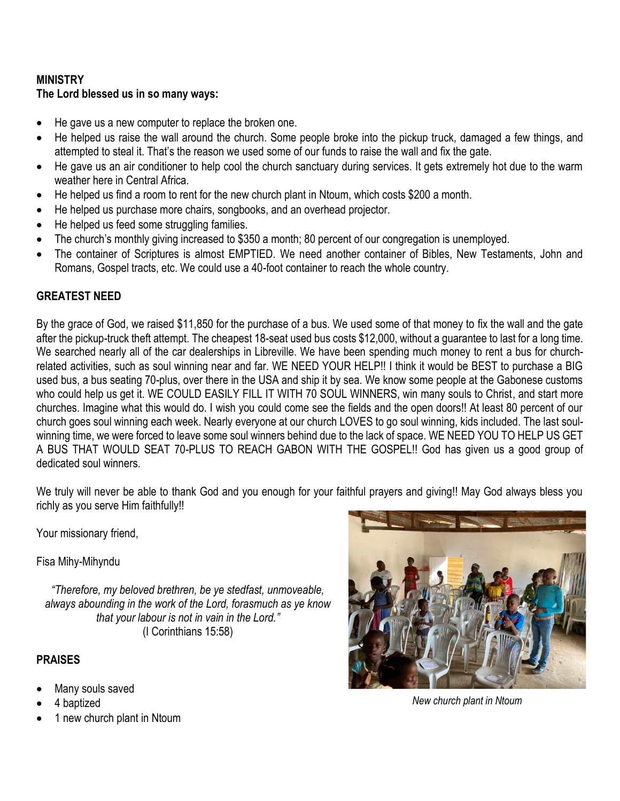# **MINISTRY The Lord blessed us in so many ways:**

- He gave us a new computer to replace the broken one.
- He helped us raise the wall around the church. Some people broke into the pickup truck, damaged a few things, and attempted to steal it. That's the reason we used some of our funds to raise the wall and fix the gate.
- He gave us an air conditioner to help cool the church sanctuary during services. It gets extremely hot due to the warm weather here in Central Africa.
- He helped us find a room to rent for the new church plant in Ntoum, which costs \$200 a month.
- He helped us purchase more chairs, songbooks, and an overhead projector.
- He helped us feed some struggling families.
- The church's monthly giving increased to \$350 a month; 80 percent of our congregation is unemployed.
- The container of Scriptures is almost EMPTIED. We need another container of Bibles, New Testaments, John and Romans, Gospel tracts, etc. We could use a 40-foot container to reach the whole country.

# **GREATEST NEED**

By the grace of God, we raised \$11,850 for the purchase of a bus. We used some of that money to fix the wall and the gate after the pickup-truck theft attempt. The cheapest 18-seat used bus costs \$12,000, without a guarantee to last for a long time. We searched nearly all of the car dealerships in Libreville. We have been spending much money to rent a bus for churchrelated activities, such as soul winning near and far. WE NEED YOUR HELP!! I think it would be BEST to purchase a BIG used bus, a bus seating 70-plus, over there in the USA and ship it by sea. We know some people at the Gabonese customs who could help us get it. WE COULD EASILY FILL IT WITH 70 SOUL WINNERS, win many souls to Christ, and start more churches. Imagine what this would do. I wish you could come see the fields and the open doors!! At least 80 percent of our church goes soul winning each week. Nearly everyone at our church LOVES to go soul winning, kids included. The last soulwinning time, we were forced to leave some soul winners behind due to the lack of space. WE NEED YOU TO HELP US GET A BUS THAT WOULD SEAT 70-PLUS TO REACH GABON WITH THE GOSPEL!! God has given us a good group of dedicated soul winners.

We truly will never be able to thank God and you enough for your faithful prayers and giving!! May God always bless you richly as you serve Him faithfully!!

Your missionary friend,

Fisa Mihy-Mihyndu

*"Therefore, my beloved brethren, be ye stedfast, unmoveable, always abounding in the work of the Lord, forasmuch as ye know that your labour is not in vain in the Lord."* (I Corinthians 15:58)

# **PRAISES**

- Many souls saved
- 4 baptized
- 1 new church plant in Ntoum



*New church plant in Ntoum*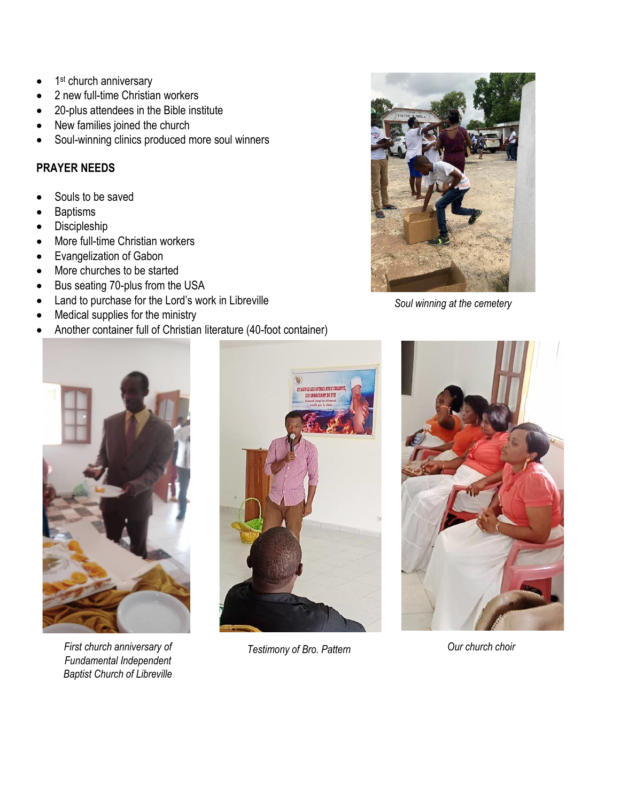- 1<sup>st</sup> church anniversary
- 2 new full-time Christian workers
- 20-plus attendees in the Bible institute
- New families joined the church
- Soul-winning clinics produced more soul winners

# **PRAYER NEEDS**

- Souls to be saved
- **Baptisms**
- **Discipleship**
- More full-time Christian workers
- Evangelization of Gabon
- More churches to be started
- Bus seating 70-plus from the USA
- Land to purchase for the Lord's work in Libreville
- Medical supplies for the ministry
- Another container full of Christian literature (40-foot container)



*Soul winning at the cemetery*



First church anniversary of **Testimony of Bro.** Pattern **Current Current Current Conventions** Current Choir *Fundamental Independent Baptist Church of Libreville*



*Testimony of Bro. Pattern*